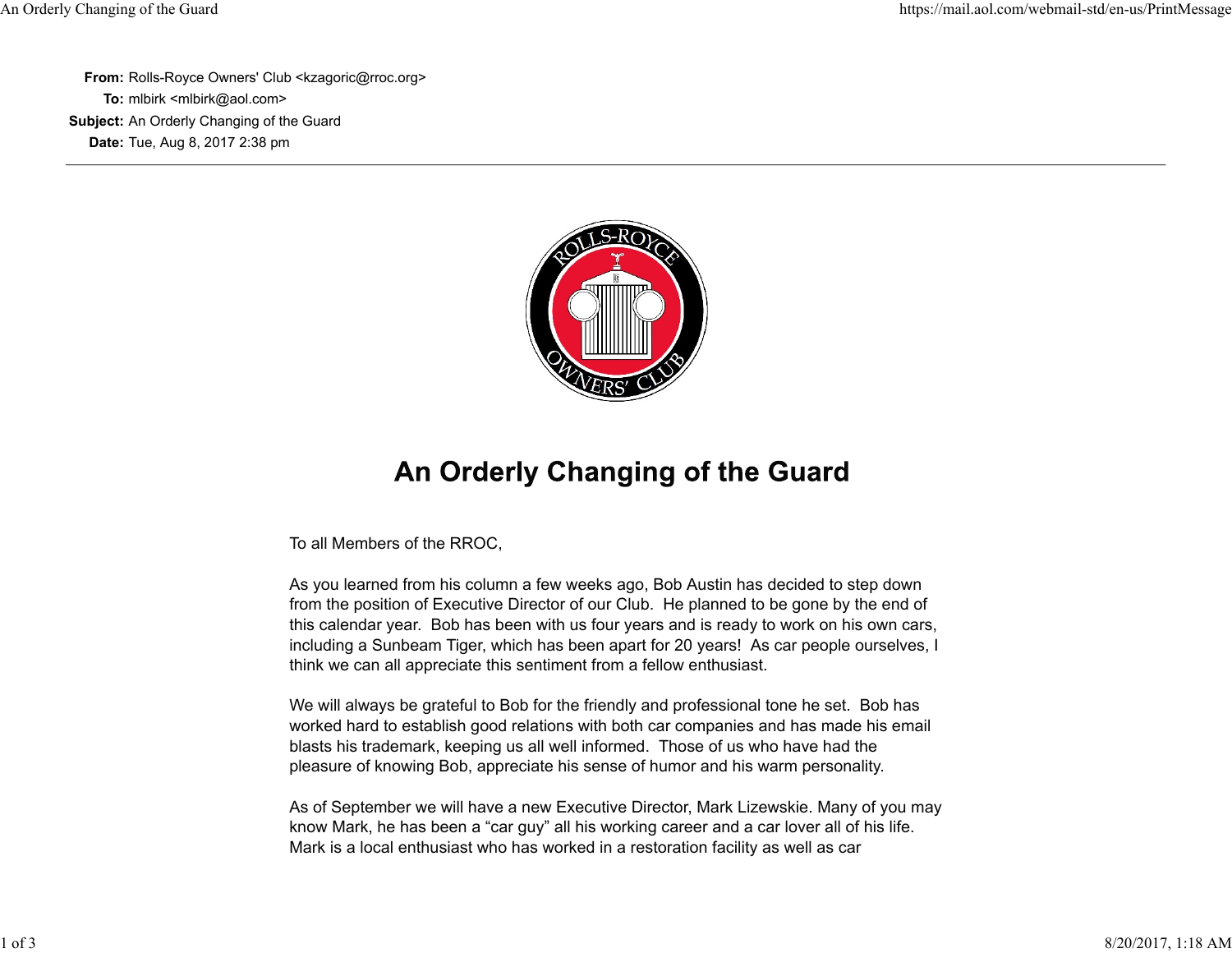**From:** Rolls-Royce Owners' Club <kzagoric@rroc.org> **To:** mlbirk <mlbirk@aol.com> **Subject:** An Orderly Changing of the Guard **Date:** Tue, Aug 8, 2017 2:38 pm



## An Orderly Changing of the Guard

To all Members of the RROC,

As you learned from his column a few weeks ago, Bob Austin has decided to step down from the position of Executive Director of our Club. He planned to be gone by the end of this calendar year. Bob has been with us four years and is ready to work on his own cars, including a Sunbeam Tiger, which has been apart for 20 years! As car people ourselves, I think we can all appreciate this sentiment from a fellow enthusiast.

We will always be grateful to Bob for the friendly and professional tone he set. Bob has worked hard to establish good relations with both car companies and has made his email blasts his trademark, keeping us all well informed. Those of us who have had the pleasure of knowing Bob, appreciate his sense of humor and his warm personality.

As of September we will have a new Executive Director, Mark Lizewskie. Many of you may know Mark, he has been a "car guy" all his working career and a car lover all of his life. Mark is a local enthusiast who has worked in a restoration facility as well as car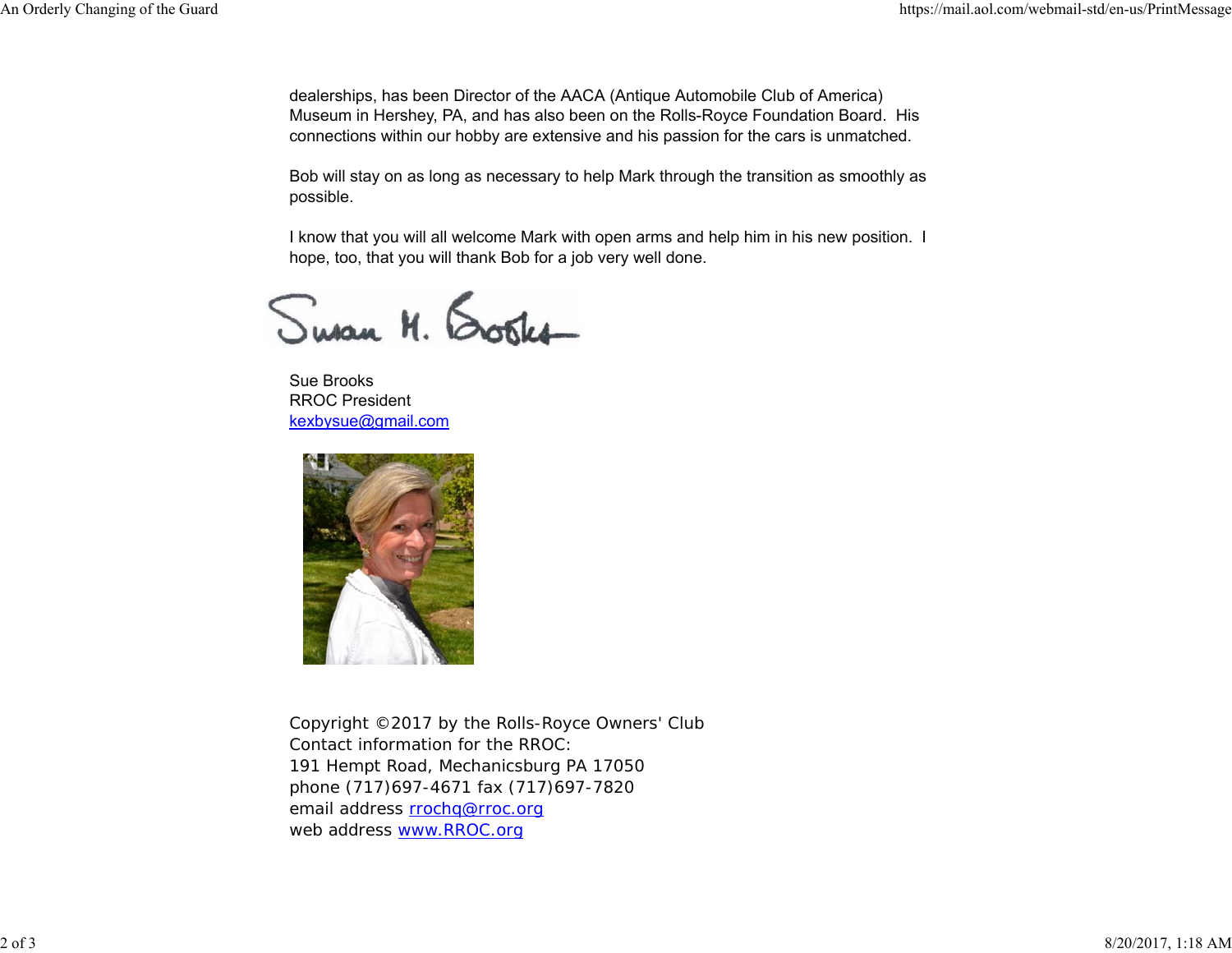dealerships, has been Director of the AACA (Antique Automobile Club of America) Museum in Hershey, PA, and has also been on the Rolls-Royce Foundation Board. His connections within our hobby are extensive and his passion for the cars is unmatched.

Bob will stay on as long as necessary to help Mark through the transition as smoothly as possible.

I know that you will all welcome Mark with open arms and help him in his new position. I hope, too, that you will thank Bob for a job very well done.

Susan M. Sosks

Sue BrooksRROC Presidentkexbysue@gmail.com



Copyright ©2017 by the Rolls-Royce Owners' Club Contact information for the RROC: 191 Hempt Road, Mechanicsburg PA 17050 phone (717)697-4671 fax (717)697-7820 email address rrochq@rroc.org web address www.RROC.org